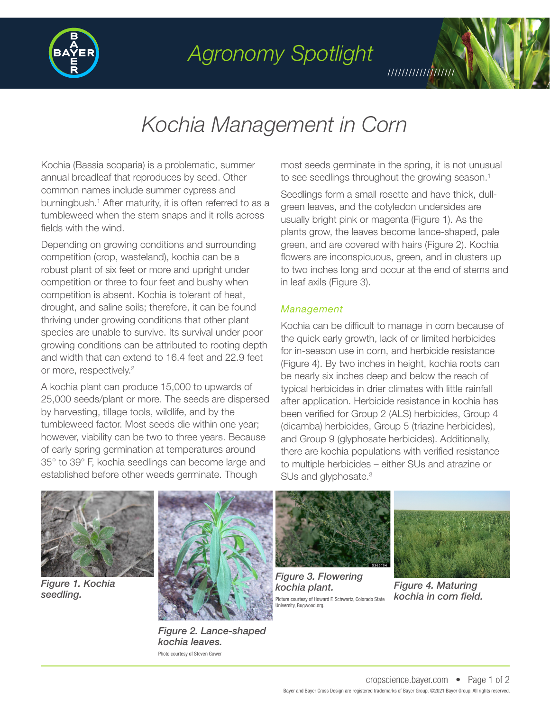

## *Agronomy Spotlight*

///////////////////

## *Kochia Management in Corn*

Kochia (Bassia scoparia) is a problematic, summer annual broadleaf that reproduces by seed. Other common names include summer cypress and burningbush.<sup>1</sup> After maturity, it is often referred to as a tumbleweed when the stem snaps and it rolls across fields with the wind.

Depending on growing conditions and surrounding competition (crop, wasteland), kochia can be a robust plant of six feet or more and upright under competition or three to four feet and bushy when competition is absent. Kochia is tolerant of heat, drought, and saline soils; therefore, it can be found thriving under growing conditions that other plant species are unable to survive. Its survival under poor growing conditions can be attributed to rooting depth and width that can extend to 16.4 feet and 22.9 feet or more, respectively.2

A kochia plant can produce 15,000 to upwards of 25,000 seeds/plant or more. The seeds are dispersed by harvesting, tillage tools, wildlife, and by the tumbleweed factor. Most seeds die within one year; however, viability can be two to three years. Because of early spring germination at temperatures around 35° to 39° F, kochia seedlings can become large and established before other weeds germinate. Though

most seeds germinate in the spring, it is not unusual to see seedlings throughout the growing season.<sup>1</sup>

Seedlings form a small rosette and have thick, dullgreen leaves, and the cotyledon undersides are usually bright pink or magenta (Figure 1). As the plants grow, the leaves become lance-shaped, pale green, and are covered with hairs (Figure 2). Kochia flowers are inconspicuous, green, and in clusters up to two inches long and occur at the end of stems and in leaf axils (Figure 3).

### *Management*

Kochia can be difficult to manage in corn because of the quick early growth, lack of or limited herbicides for in-season use in corn, and herbicide resistance (Figure 4). By two inches in height, kochia roots can be nearly six inches deep and below the reach of typical herbicides in drier climates with little rainfall after application. Herbicide resistance in kochia has been verified for Group 2 (ALS) herbicides, Group 4 (dicamba) herbicides, Group 5 (triazine herbicides), and Group 9 (glyphosate herbicides). Additionally, there are kochia populations with verified resistance to multiple herbicides – either SUs and atrazine or SUs and glyphosate.<sup>3</sup>



*Figure 1. Kochia seedling.* 



*Figure 2. Lance-shaped kochia leaves.*  Photo courtesy of Steven Gower



*Figure 3. Flowering kochia plant.*  Picture courtesy of Howard F. Schwartz, Colorado State University, Bugwood.org.



*Figure 4. Maturing kochia in corn field.*